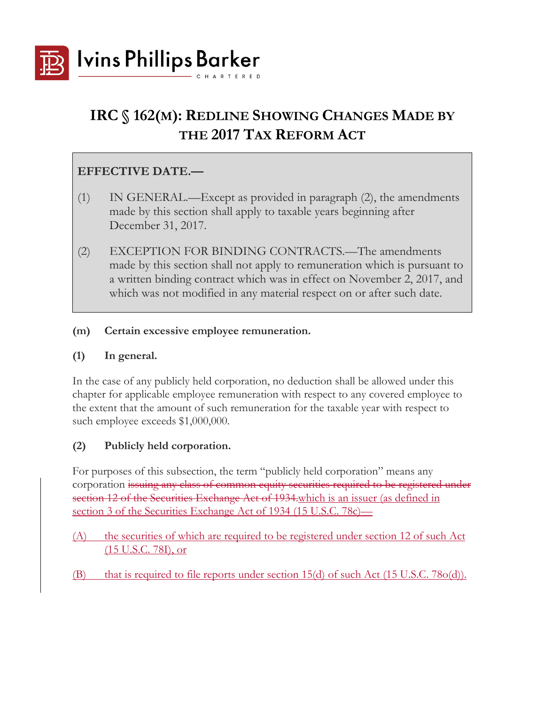

# **IRC § 162(M): REDLINE SHOWING CHANGES MADE BY THE 2017 TAX REFORM ACT**

## **EFFECTIVE DATE.—**

- (1) IN GENERAL.—Except as provided in paragraph (2), the amendments made by this section shall apply to taxable years beginning after December 31, 2017.
- (2) EXCEPTION FOR BINDING CONTRACTS.—The amendments made by this section shall not apply to remuneration which is pursuant to a written binding contract which was in effect on November 2, 2017, and which was not modified in any material respect on or after such date.
- **(m) Certain excessive employee remuneration.**

#### **(1) In general.**

In the case of any publicly held corporation, no deduction shall be allowed under this chapter for applicable employee remuneration with respect to any covered employee to the extent that the amount of such remuneration for the taxable year with respect to such employee exceeds \$1,000,000.

### **(2) Publicly held corporation.**

For purposes of this subsection, the term "publicly held corporation" means any corporation issuing any class of common equity securities required to be registered under section 12 of the Securities Exchange Act of 1934 which is an issuer (as defined in section 3 of the Securities Exchange Act of 1934 (15 U.S.C. 78c)—

- (A) the securities of which are required to be registered under section 12 of such Act (15 U.S.C. 78I), or
- $(B)$  that is required to file reports under section 15(d) of such Act (15 U.S.C. 78o(d)).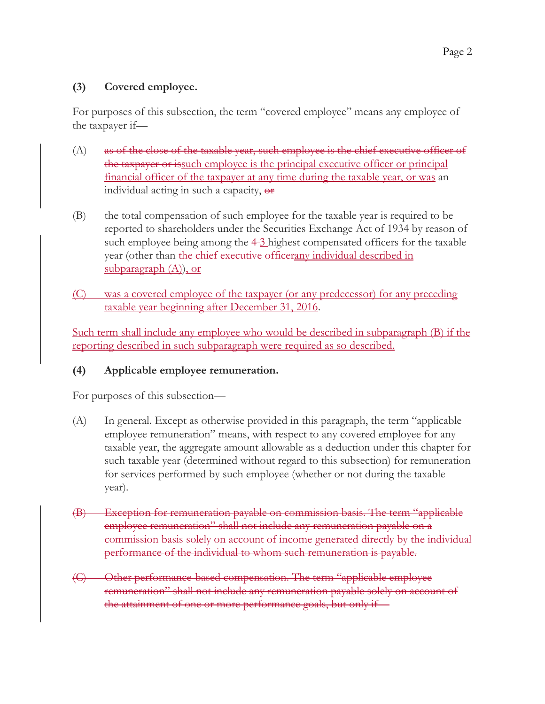### **(3) Covered employee.**

For purposes of this subsection, the term "covered employee" means any employee of the taxpayer if—

- $(A)$  as of the close of the taxable year, such employee is the chief executive officer of the taxpayer or issuch employee is the principal executive officer or principal financial officer of the taxpayer at any time during the taxable year, or was an individual acting in such a capacity,  $\Theta$ **r**
- (B) the total compensation of such employee for the taxable year is required to be reported to shareholders under the Securities Exchange Act of 1934 by reason of such employee being among the  $4-3$  highest compensated officers for the taxable year (other than the chief executive officerany individual described in subparagraph  $(A)$ ), or
- (C) was a covered employee of the taxpayer (or any predecessor) for any preceding taxable year beginning after December 31, 2016.

Such term shall include any employee who would be described in subparagraph (B) if the reporting described in such subparagraph were required as so described.

### **(4) Applicable employee remuneration.**

For purposes of this subsection—

- (A) In general. Except as otherwise provided in this paragraph, the term "applicable employee remuneration" means, with respect to any covered employee for any taxable year, the aggregate amount allowable as a deduction under this chapter for such taxable year (determined without regard to this subsection) for remuneration for services performed by such employee (whether or not during the taxable year).
- (B) Exception for remuneration payable on commission basis. The term "applicable employee remuneration" shall not include any remuneration payable on a commission basis solely on account of income generated directly by the individual performance of the individual to whom such remuneration is payable.
- (C) Other performance-based compensation. The term "applicable employee remuneration" shall not include any remuneration payable solely on account of the attainment of one or more performance goals, but only if—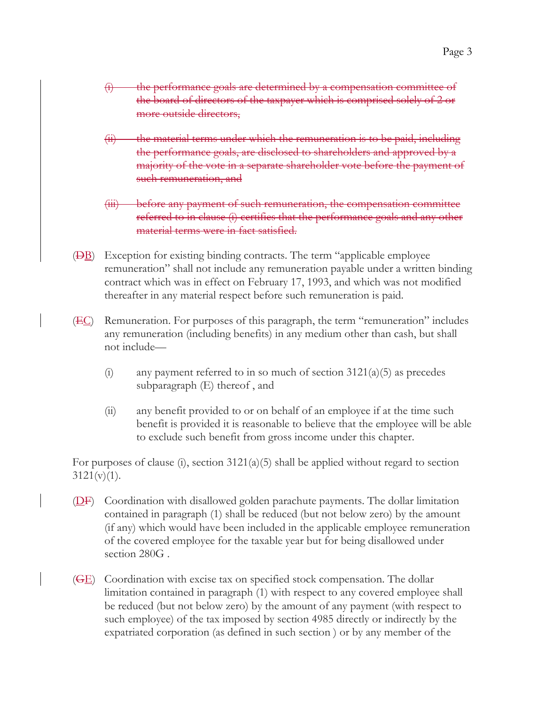- (i) the performance goals are determined by a compensation committee of the board of directors of the taxpayer which is comprised solely of 2 or more outside directors,
- $(ii)$  the material terms under which the remuneration is to be paid, including the performance goals, are disclosed to shareholders and approved by a majority of the vote in a separate shareholder vote before the payment of such remuneration, and
- (iii) before any payment of such remuneration, the compensation committee referred to in clause (i) certifies that the performance goals and any other material terms were in fact satisfied.
- $(BB)$  Exception for existing binding contracts. The term "applicable employee" remuneration" shall not include any remuneration payable under a written binding contract which was in effect on February 17, 1993, and which was not modified thereafter in any material respect before such remuneration is paid.
- $(EC)$  Remuneration. For purposes of this paragraph, the term "remuneration" includes any remuneration (including benefits) in any medium other than cash, but shall not include—
	- (i) any payment referred to in so much of section  $3121(a)(5)$  as precedes subparagraph (E) thereof , and
	- (ii) any benefit provided to or on behalf of an employee if at the time such benefit is provided it is reasonable to believe that the employee will be able to exclude such benefit from gross income under this chapter.

For purposes of clause (i), section 3121(a)(5) shall be applied without regard to section  $3121(v)(1)$ .

- $(DF)$  Coordination with disallowed golden parachute payments. The dollar limitation contained in paragraph (1) shall be reduced (but not below zero) by the amount (if any) which would have been included in the applicable employee remuneration of the covered employee for the taxable year but for being disallowed under section 280G .
- $(\overline{GE})$  Coordination with excise tax on specified stock compensation. The dollar limitation contained in paragraph (1) with respect to any covered employee shall be reduced (but not below zero) by the amount of any payment (with respect to such employee) of the tax imposed by section 4985 directly or indirectly by the expatriated corporation (as defined in such section ) or by any member of the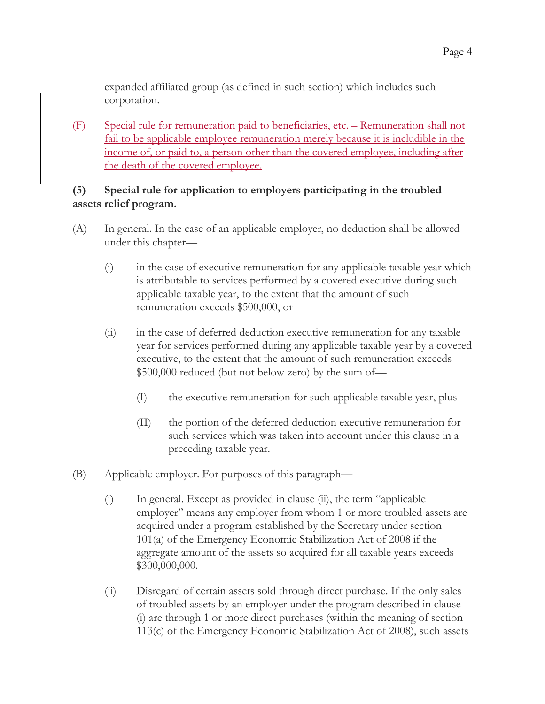expanded affiliated group (as defined in such section) which includes such corporation.

(F) Special rule for remuneration paid to beneficiaries, etc. – Remuneration shall not fail to be applicable employee remuneration merely because it is includible in the income of, or paid to, a person other than the covered employee, including after the death of the covered employee.

#### **(5) Special rule for application to employers participating in the troubled assets relief program.**

- (A) In general. In the case of an applicable employer, no deduction shall be allowed under this chapter—
	- (i) in the case of executive remuneration for any applicable taxable year which is attributable to services performed by a covered executive during such applicable taxable year, to the extent that the amount of such remuneration exceeds \$500,000, or
	- (ii) in the case of deferred deduction executive remuneration for any taxable year for services performed during any applicable taxable year by a covered executive, to the extent that the amount of such remuneration exceeds \$500,000 reduced (but not below zero) by the sum of—
		- (I) the executive remuneration for such applicable taxable year, plus
		- (II) the portion of the deferred deduction executive remuneration for such services which was taken into account under this clause in a preceding taxable year.
- (B) Applicable employer. For purposes of this paragraph—
	- (i) In general. Except as provided in clause (ii), the term "applicable employer" means any employer from whom 1 or more troubled assets are acquired under a program established by the Secretary under section 101(a) of the Emergency Economic Stabilization Act of 2008 if the aggregate amount of the assets so acquired for all taxable years exceeds \$300,000,000.
	- (ii) Disregard of certain assets sold through direct purchase. If the only sales of troubled assets by an employer under the program described in clause (i) are through 1 or more direct purchases (within the meaning of section 113(c) of the Emergency Economic Stabilization Act of 2008), such assets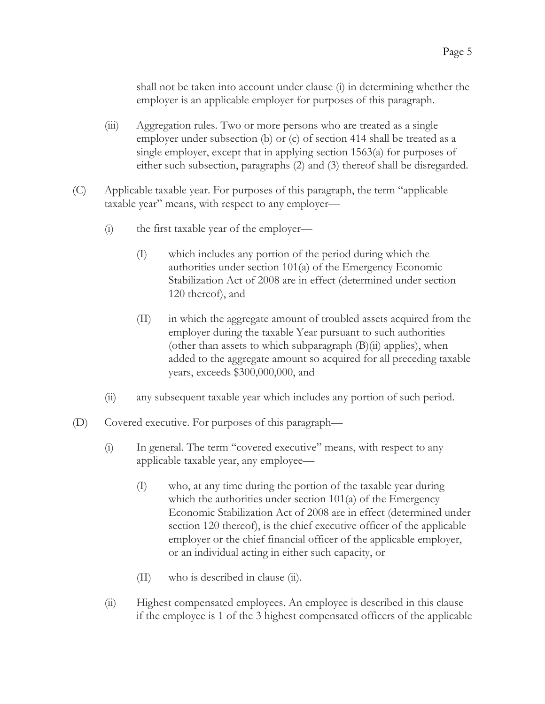shall not be taken into account under clause (i) in determining whether the employer is an applicable employer for purposes of this paragraph.

- (iii) Aggregation rules. Two or more persons who are treated as a single employer under subsection (b) or (c) of section 414 shall be treated as a single employer, except that in applying section 1563(a) for purposes of either such subsection, paragraphs (2) and (3) thereof shall be disregarded.
- (C) Applicable taxable year. For purposes of this paragraph, the term "applicable taxable year" means, with respect to any employer—
	- (i) the first taxable year of the employer—
		- (I) which includes any portion of the period during which the authorities under section 101(a) of the Emergency Economic Stabilization Act of 2008 are in effect (determined under section 120 thereof), and
		- (II) in which the aggregate amount of troubled assets acquired from the employer during the taxable Year pursuant to such authorities (other than assets to which subparagraph  $(B)(ii)$  applies), when added to the aggregate amount so acquired for all preceding taxable years, exceeds \$300,000,000, and
	- (ii) any subsequent taxable year which includes any portion of such period.
- (D) Covered executive. For purposes of this paragraph—
	- (i) In general. The term "covered executive" means, with respect to any applicable taxable year, any employee—
		- (I) who, at any time during the portion of the taxable year during which the authorities under section  $101(a)$  of the Emergency Economic Stabilization Act of 2008 are in effect (determined under section 120 thereof), is the chief executive officer of the applicable employer or the chief financial officer of the applicable employer, or an individual acting in either such capacity, or
		- (II) who is described in clause (ii).
	- (ii) Highest compensated employees. An employee is described in this clause if the employee is 1 of the 3 highest compensated officers of the applicable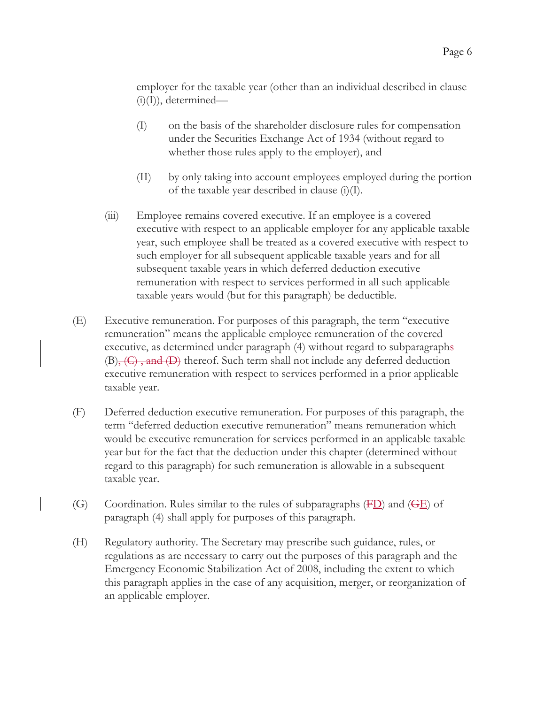employer for the taxable year (other than an individual described in clause  $(i)(I)$ ), determined—

- (I) on the basis of the shareholder disclosure rules for compensation under the Securities Exchange Act of 1934 (without regard to whether those rules apply to the employer), and
- (II) by only taking into account employees employed during the portion of the taxable year described in clause  $(i)(I)$ .
- (iii) Employee remains covered executive. If an employee is a covered executive with respect to an applicable employer for any applicable taxable year, such employee shall be treated as a covered executive with respect to such employer for all subsequent applicable taxable years and for all subsequent taxable years in which deferred deduction executive remuneration with respect to services performed in all such applicable taxable years would (but for this paragraph) be deductible.
- (E) Executive remuneration. For purposes of this paragraph, the term "executive remuneration" means the applicable employee remuneration of the covered executive, as determined under paragraph (4) without regard to subparagraphs  $(B)$ ,  $(C)$ , and  $(D)$  thereof. Such term shall not include any deferred deduction executive remuneration with respect to services performed in a prior applicable taxable year.
- (F) Deferred deduction executive remuneration. For purposes of this paragraph, the term "deferred deduction executive remuneration" means remuneration which would be executive remuneration for services performed in an applicable taxable year but for the fact that the deduction under this chapter (determined without regard to this paragraph) for such remuneration is allowable in a subsequent taxable year.
- (G) Coordination. Rules similar to the rules of subparagraphs  $(FD)$  and  $(FE)$  of paragraph (4) shall apply for purposes of this paragraph.
- (H) Regulatory authority. The Secretary may prescribe such guidance, rules, or regulations as are necessary to carry out the purposes of this paragraph and the Emergency Economic Stabilization Act of 2008, including the extent to which this paragraph applies in the case of any acquisition, merger, or reorganization of an applicable employer.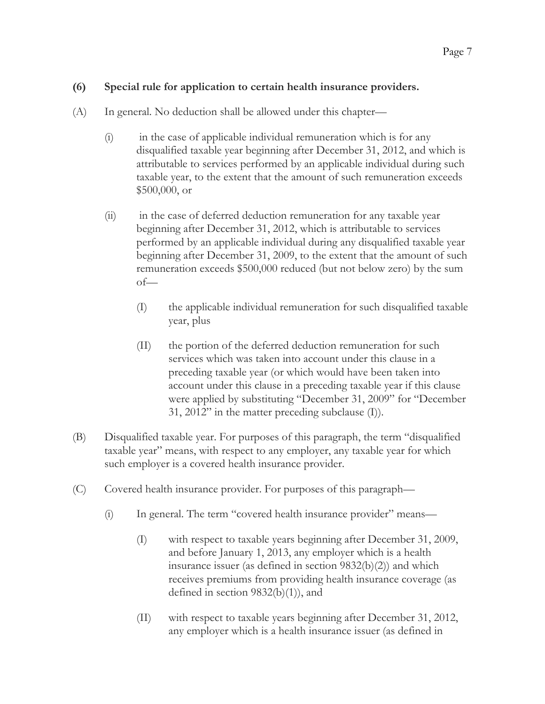#### **(6) Special rule for application to certain health insurance providers.**

- (A) In general. No deduction shall be allowed under this chapter—
	- (i) in the case of applicable individual remuneration which is for any disqualified taxable year beginning after December 31, 2012, and which is attributable to services performed by an applicable individual during such taxable year, to the extent that the amount of such remuneration exceeds \$500,000, or
	- (ii) in the case of deferred deduction remuneration for any taxable year beginning after December 31, 2012, which is attributable to services performed by an applicable individual during any disqualified taxable year beginning after December 31, 2009, to the extent that the amount of such remuneration exceeds \$500,000 reduced (but not below zero) by the sum of—
		- (I) the applicable individual remuneration for such disqualified taxable year, plus
		- (II) the portion of the deferred deduction remuneration for such services which was taken into account under this clause in a preceding taxable year (or which would have been taken into account under this clause in a preceding taxable year if this clause were applied by substituting "December 31, 2009" for "December 31, 2012" in the matter preceding subclause (I)).
- (B) Disqualified taxable year. For purposes of this paragraph, the term "disqualified taxable year" means, with respect to any employer, any taxable year for which such employer is a covered health insurance provider.
- (C) Covered health insurance provider. For purposes of this paragraph—
	- (i) In general. The term "covered health insurance provider" means—
		- (I) with respect to taxable years beginning after December 31, 2009, and before January 1, 2013, any employer which is a health insurance issuer (as defined in section 9832(b)(2)) and which receives premiums from providing health insurance coverage (as defined in section 9832(b)(1)), and
		- (II) with respect to taxable years beginning after December 31, 2012, any employer which is a health insurance issuer (as defined in